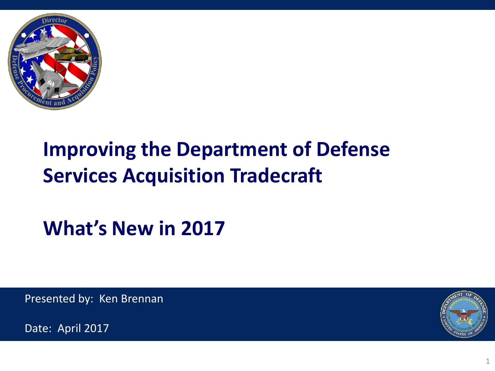

### **Improving the Department of Defense Services Acquisition Tradecraft**

**What's New in 2017**

Presented by: Ken Brennan



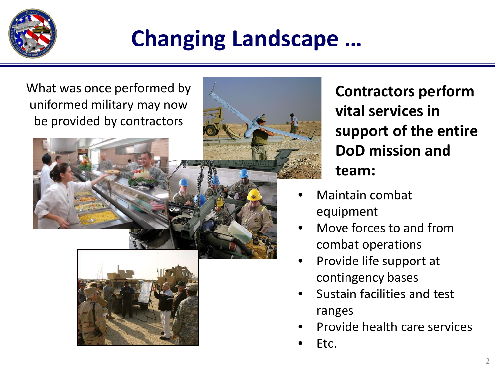

# **Changing Landscape …**



**Contractors perform vital services in support of the entire DoD mission and team:**

- Maintain combat equipment
- Move forces to and from combat operations
- Provide life support at contingency bases
- Sustain facilities and test ranges
- Provide health care services
- Etc.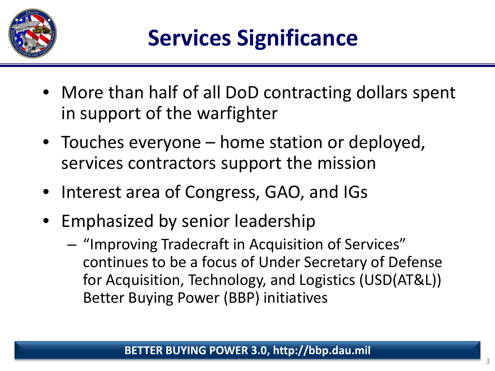

- More than half of all DoD contracting dollars spent in support of the warfighter
- Touches everyone home station or deployed, services contractors support the mission
- Interest area of Congress, GAO, and IGs
- Emphasized by senior leadership
	- "Improving Tradecraft in Acquisition of Services" continues to be a focus of Under Secretary of Defense for Acquisition, Technology, and Logistics (USD(AT&L)) Better Buying Power (BBP) initiatives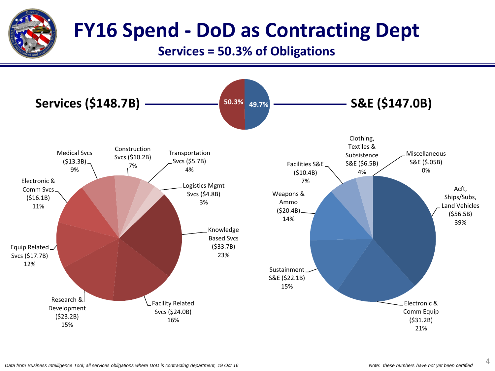

#### **FY16 Spend - DoD as Contracting Dept**

#### **Services = 50.3% of Obligations**

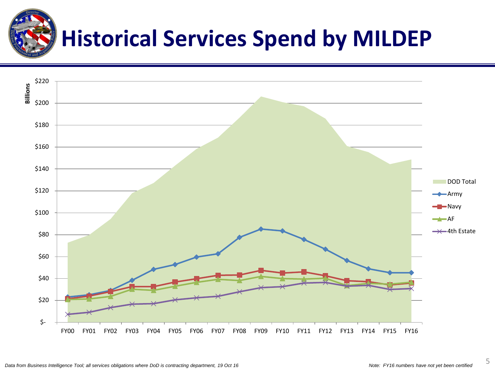

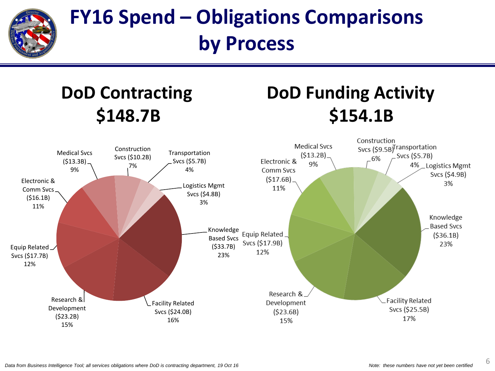

#### **FY16 Spend – Obligations Comparisons by Process**

#### **DoD Contracting Contracting DoD Funding Activity \$148.7B \$154.1B**

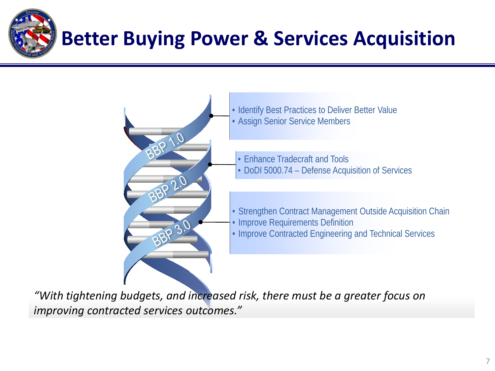



*"With tightening budgets, and increased risk, there must be a greater focus on improving contracted services outcomes."*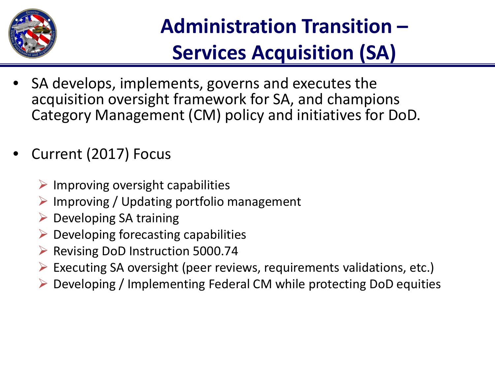

# **Administration Transition – Services Acquisition (SA)**

- SA develops, implements, governs and executes the acquisition oversight framework for SA, and champions Category Management (CM) policy and initiatives for DoD.
- Current (2017) Focus
	- $\triangleright$  Improving oversight capabilities
	- $\triangleright$  Improving / Updating portfolio management
	- $\triangleright$  Developing SA training
	- $\triangleright$  Developing forecasting capabilities
	- ▶ Revising DoD Instruction 5000.74
	- $\triangleright$  Executing SA oversight (peer reviews, requirements validations, etc.)
	- Developing / Implementing Federal CM while protecting DoD equities